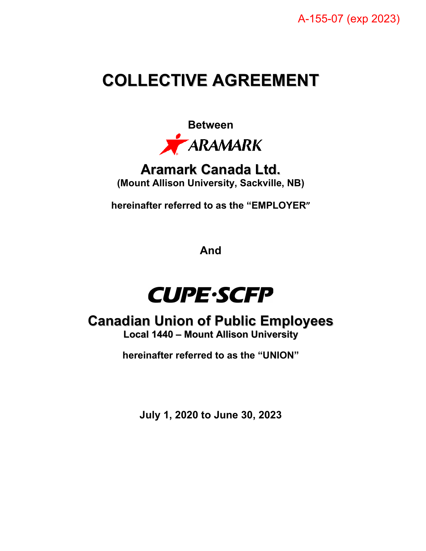# **COLLECTIVE AGREEMENT**



**Aramark Canada Ltd. (Mount Allison University, Sackville, NB)**

**hereinafter referred to as the "EMPLOYER"** 

**And**



# **Canadian Union of Public Employees**

**Local 1440 – Mount Allison University**

**hereinafter referred to as the "UNION"**

**July 1, 2020 to June 30, 2023**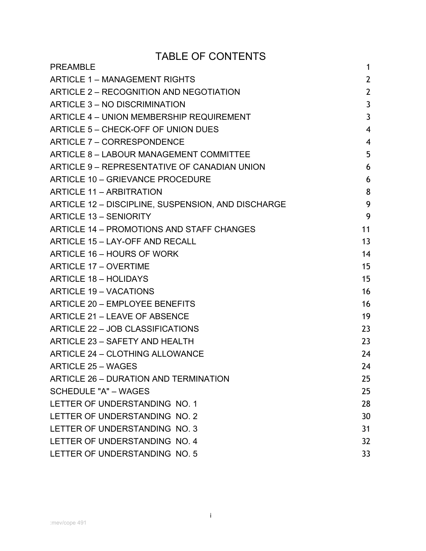# TABLE OF CONTENTS

| <b>PREAMBLE</b>                                    | 1               |
|----------------------------------------------------|-----------------|
| <b>ARTICLE 1 – MANAGEMENT RIGHTS</b>               | $\overline{2}$  |
| ARTICLE 2 - RECOGNITION AND NEGOTIATION            | $\overline{2}$  |
| ARTICLE 3 - NO DISCRIMINATION                      | $\mathbf{3}$    |
| ARTICLE 4 - UNION MEMBERSHIP REQUIREMENT           | $\overline{3}$  |
| ARTICLE 5 - CHECK-OFF OF UNION DUES                | $\overline{4}$  |
| <b>ARTICLE 7 - CORRESPONDENCE</b>                  | 4               |
| ARTICLE 8 - LABOUR MANAGEMENT COMMITTEE            | 5               |
| ARTICLE 9 - REPRESENTATIVE OF CANADIAN UNION       | 6               |
| ARTICLE 10 - GRIEVANCE PROCEDURE                   | 6               |
| <b>ARTICLE 11 - ARBITRATION</b>                    | 8               |
| ARTICLE 12 - DISCIPLINE, SUSPENSION, AND DISCHARGE | 9               |
| <b>ARTICLE 13 - SENIORITY</b>                      | 9               |
| ARTICLE 14 - PROMOTIONS AND STAFF CHANGES          | 11              |
| ARTICLE 15 - LAY-OFF AND RECALL                    | 13              |
| ARTICLE 16 - HOURS OF WORK                         | 14              |
| <b>ARTICLE 17 - OVERTIME</b>                       | 15              |
| <b>ARTICLE 18 - HOLIDAYS</b>                       | 15              |
| <b>ARTICLE 19 - VACATIONS</b>                      | 16              |
| ARTICLE 20 - EMPLOYEE BENEFITS                     | 16              |
| ARTICLE 21 - LEAVE OF ABSENCE                      | 19              |
| ARTICLE 22 - JOB CLASSIFICATIONS                   | 23              |
| ARTICLE 23 - SAFETY AND HEALTH                     | 23              |
| <b>ARTICLE 24 - CLOTHING ALLOWANCE</b>             | 24              |
| <b>ARTICLE 25 - WAGES</b>                          | 24              |
| ARTICLE 26 - DURATION AND TERMINATION              | 25              |
| <b>SCHEDULE "A" - WAGES</b>                        | 25              |
| LETTER OF UNDERSTANDING NO. 1                      | 28              |
| LETTER OF UNDERSTANDING NO. 2                      | 30              |
| LETTER OF UNDERSTANDING NO. 3                      | 31              |
| LETTER OF UNDERSTANDING NO. 4                      | 32 <sup>2</sup> |
| LETTER OF UNDERSTANDING NO. 5                      | 33              |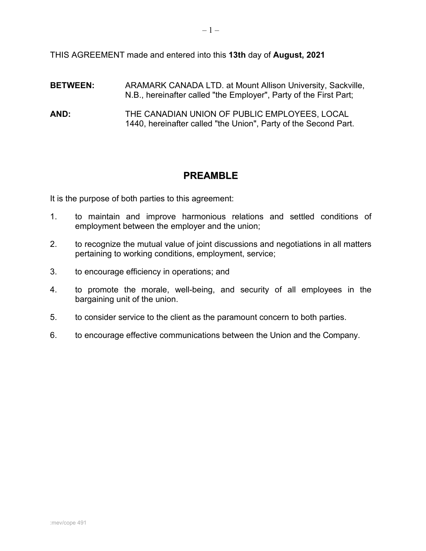THIS AGREEMENT made and entered into this **13th** day of **August, 2021**

- **BETWEEN:** ARAMARK CANADA LTD. at Mount Allison University, Sackville, N.B., hereinafter called "the Employer", Party of the First Part;
- **AND:** THE CANADIAN UNION OF PUBLIC EMPLOYEES, LOCAL 1440, hereinafter called "the Union", Party of the Second Part.

# **PREAMBLE**

<span id="page-2-0"></span>It is the purpose of both parties to this agreement:

- 1. to maintain and improve harmonious relations and settled conditions of employment between the employer and the union;
- 2. to recognize the mutual value of joint discussions and negotiations in all matters pertaining to working conditions, employment, service;
- 3. to encourage efficiency in operations; and
- 4. to promote the morale, well-being, and security of all employees in the bargaining unit of the union.
- 5. to consider service to the client as the paramount concern to both parties.
- 6. to encourage effective communications between the Union and the Company.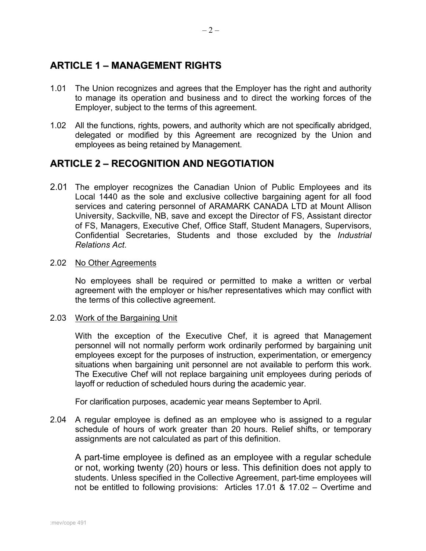# <span id="page-3-0"></span>**ARTICLE 1 – MANAGEMENT RIGHTS**

- 1.01 The Union recognizes and agrees that the Employer has the right and authority to manage its operation and business and to direct the working forces of the Employer, subject to the terms of this agreement.
- 1.02 All the functions, rights, powers, and authority which are not specifically abridged, delegated or modified by this Agreement are recognized by the Union and employees as being retained by Management.

### <span id="page-3-1"></span>**ARTICLE 2 – RECOGNITION AND NEGOTIATION**

2.01 The employer recognizes the Canadian Union of Public Employees and its Local 1440 as the sole and exclusive collective bargaining agent for all food services and catering personnel of ARAMARK CANADA LTD at Mount Allison University, Sackville, NB, save and except the Director of FS, Assistant director of FS, Managers, Executive Chef, Office Staff, Student Managers, Supervisors, Confidential Secretaries, Students and those excluded by the *Industrial Relations Act*.

### 2.02 No Other Agreements

No employees shall be required or permitted to make a written or verbal agreement with the employer or his/her representatives which may conflict with the terms of this collective agreement.

### 2.03 Work of the Bargaining Unit

With the exception of the Executive Chef, it is agreed that Management personnel will not normally perform work ordinarily performed by bargaining unit employees except for the purposes of instruction, experimentation, or emergency situations when bargaining unit personnel are not available to perform this work. The Executive Chef will not replace bargaining unit employees during periods of layoff or reduction of scheduled hours during the academic year.

For clarification purposes, academic year means September to April.

2.04 A regular employee is defined as an employee who is assigned to a regular schedule of hours of work greater than 20 hours. Relief shifts, or temporary assignments are not calculated as part of this definition.

A part-time employee is defined as an employee with a regular schedule or not, working twenty (20) hours or less. This definition does not apply to students. Unless specified in the Collective Agreement, part-time employees will not be entitled to following provisions: Articles 17.01 & 17.02 – Overtime and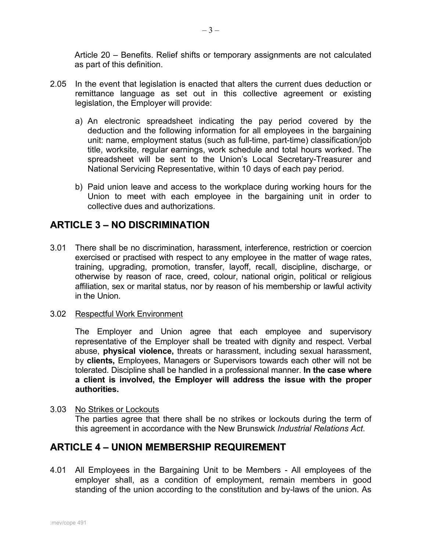Article 20 – Benefits. Relief shifts or temporary assignments are not calculated as part of this definition.

- 2.05 In the event that legislation is enacted that alters the current dues deduction or remittance language as set out in this collective agreement or existing legislation, the Employer will provide:
	- a) An electronic spreadsheet indicating the pay period covered by the deduction and the following information for all employees in the bargaining unit: name, employment status (such as full-time, part-time) classification/job title, worksite, regular earnings, work schedule and total hours worked. The spreadsheet will be sent to the Union's Local Secretary-Treasurer and National Servicing Representative, within 10 days of each pay period.
	- b) Paid union leave and access to the workplace during working hours for the Union to meet with each employee in the bargaining unit in order to collective dues and authorizations.

# <span id="page-4-0"></span>**ARTICLE 3 – NO DISCRIMINATION**

- 3.01 There shall be no discrimination, harassment, interference, restriction or coercion exercised or practised with respect to any employee in the matter of wage rates, training, upgrading, promotion, transfer, layoff, recall, discipline, discharge, or otherwise by reason of race, creed, colour, national origin, political or religious affiliation, sex or marital status, nor by reason of his membership or lawful activity in the Union.
- 3.02 Respectful Work Environment

The Employer and Union agree that each employee and supervisory representative of the Employer shall be treated with dignity and respect. Verbal abuse, **physical violence,** threats or harassment, including sexual harassment, by **clients,** Employees, Managers or Supervisors towards each other will not be tolerated. Discipline shall be handled in a professional manner. **In the case where a client is involved, the Employer will address the issue with the proper authorities.**

3.03 No Strikes or Lockouts The parties agree that there shall be no strikes or lockouts during the term of this agreement in accordance with the New Brunswick *Industrial Relations Act*.

### <span id="page-4-1"></span>**ARTICLE 4 – UNION MEMBERSHIP REQUIREMENT**

4.01 All Employees in the Bargaining Unit to be Members - All employees of the employer shall, as a condition of employment, remain members in good standing of the union according to the constitution and by-laws of the union. As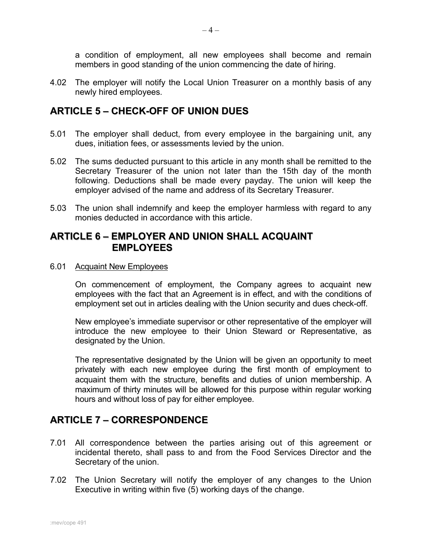a condition of employment, all new employees shall become and remain members in good standing of the union commencing the date of hiring.

4.02 The employer will notify the Local Union Treasurer on a monthly basis of any newly hired employees.

### <span id="page-5-0"></span>**ARTICLE 5 – CHECK-OFF OF UNION DUES**

- 5.01 The employer shall deduct, from every employee in the bargaining unit, any dues, initiation fees, or assessments levied by the union.
- 5.02 The sums deducted pursuant to this article in any month shall be remitted to the Secretary Treasurer of the union not later than the 15th day of the month following. Deductions shall be made every payday. The union will keep the employer advised of the name and address of its Secretary Treasurer.
- 5.03 The union shall indemnify and keep the employer harmless with regard to any monies deducted in accordance with this article.

### **ARTICLE 6 – EMPLOYER AND UNION SHALL ACQUAINT EMPLOYEES**

6.01 Acquaint New Employees

On commencement of employment, the Company agrees to acquaint new employees with the fact that an Agreement is in effect, and with the conditions of employment set out in articles dealing with the Union security and dues check-off.

New employee's immediate supervisor or other representative of the employer will introduce the new employee to their Union Steward or Representative, as designated by the Union.

The representative designated by the Union will be given an opportunity to meet privately with each new employee during the first month of employment to acquaint them with the structure, benefits and duties of union membership. A maximum of thirty minutes will be allowed for this purpose within regular working hours and without loss of pay for either employee.

# <span id="page-5-1"></span>**ARTICLE 7 – CORRESPONDENCE**

- 7.01 All correspondence between the parties arising out of this agreement or incidental thereto, shall pass to and from the Food Services Director and the Secretary of the union.
- 7.02 The Union Secretary will notify the employer of any changes to the Union Executive in writing within five (5) working days of the change.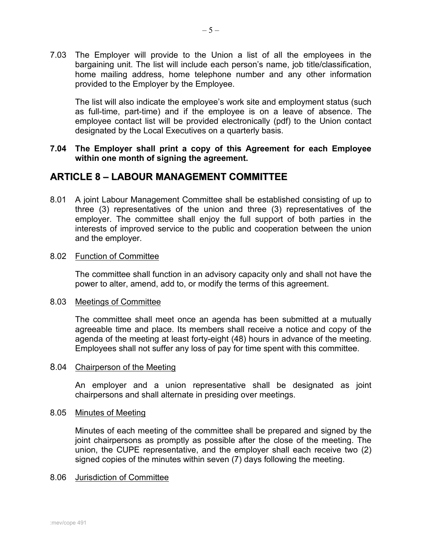7.03 The Employer will provide to the Union a list of all the employees in the bargaining unit. The list will include each person's name, job title/classification, home mailing address, home telephone number and any other information provided to the Employer by the Employee.

The list will also indicate the employee's work site and employment status (such as full-time, part-time) and if the employee is on a leave of absence. The employee contact list will be provided electronically (pdf) to the Union contact designated by the Local Executives on a quarterly basis.

### **7.04 The Employer shall print a copy of this Agreement for each Employee within one month of signing the agreement.**

### <span id="page-6-0"></span>**ARTICLE 8 – LABOUR MANAGEMENT COMMITTEE**

8.01 A joint Labour Management Committee shall be established consisting of up to three (3) representatives of the union and three (3) representatives of the employer. The committee shall enjoy the full support of both parties in the interests of improved service to the public and cooperation between the union and the employer.

### 8.02 Function of Committee

The committee shall function in an advisory capacity only and shall not have the power to alter, amend, add to, or modify the terms of this agreement.

### 8.03 Meetings of Committee

The committee shall meet once an agenda has been submitted at a mutually agreeable time and place. Its members shall receive a notice and copy of the agenda of the meeting at least forty-eight (48) hours in advance of the meeting. Employees shall not suffer any loss of pay for time spent with this committee.

### 8.04 Chairperson of the Meeting

An employer and a union representative shall be designated as joint chairpersons and shall alternate in presiding over meetings.

### 8.05 Minutes of Meeting

Minutes of each meeting of the committee shall be prepared and signed by the joint chairpersons as promptly as possible after the close of the meeting. The union, the CUPE representative, and the employer shall each receive two (2) signed copies of the minutes within seven (7) days following the meeting.

### 8.06 Jurisdiction of Committee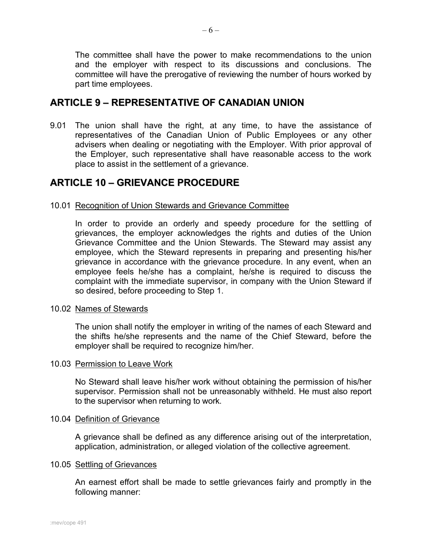The committee shall have the power to make recommendations to the union and the employer with respect to its discussions and conclusions. The committee will have the prerogative of reviewing the number of hours worked by part time employees.

### <span id="page-7-0"></span>**ARTICLE 9 – REPRESENTATIVE OF CANADIAN UNION**

9.01 The union shall have the right, at any time, to have the assistance of representatives of the Canadian Union of Public Employees or any other advisers when dealing or negotiating with the Employer. With prior approval of the Employer, such representative shall have reasonable access to the work place to assist in the settlement of a grievance.

### <span id="page-7-1"></span>**ARTICLE 10 – GRIEVANCE PROCEDURE**

### 10.01 Recognition of Union Stewards and Grievance Committee

In order to provide an orderly and speedy procedure for the settling of grievances, the employer acknowledges the rights and duties of the Union Grievance Committee and the Union Stewards. The Steward may assist any employee, which the Steward represents in preparing and presenting his/her grievance in accordance with the grievance procedure. In any event, when an employee feels he/she has a complaint, he/she is required to discuss the complaint with the immediate supervisor, in company with the Union Steward if so desired, before proceeding to Step 1.

### 10.02 Names of Stewards

The union shall notify the employer in writing of the names of each Steward and the shifts he/she represents and the name of the Chief Steward, before the employer shall be required to recognize him/her.

### 10.03 Permission to Leave Work

No Steward shall leave his/her work without obtaining the permission of his/her supervisor. Permission shall not be unreasonably withheld. He must also report to the supervisor when returning to work.

### 10.04 Definition of Grievance

A grievance shall be defined as any difference arising out of the interpretation, application, administration, or alleged violation of the collective agreement.

### 10.05 Settling of Grievances

An earnest effort shall be made to settle grievances fairly and promptly in the following manner: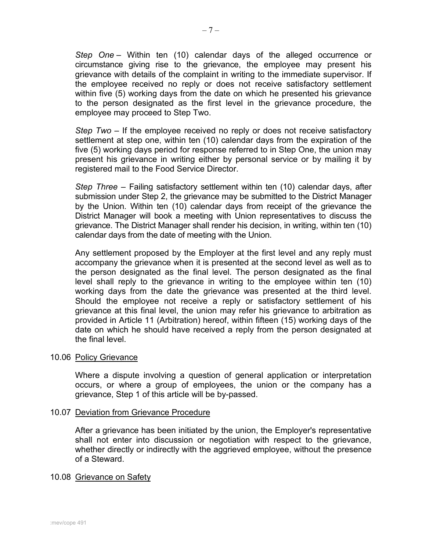*Step One* – Within ten (10) calendar days of the alleged occurrence or circumstance giving rise to the grievance, the employee may present his grievance with details of the complaint in writing to the immediate supervisor. If the employee received no reply or does not receive satisfactory settlement within five (5) working days from the date on which he presented his grievance to the person designated as the first level in the grievance procedure, the employee may proceed to Step Two.

*Step Two* – If the employee received no reply or does not receive satisfactory settlement at step one, within ten (10) calendar days from the expiration of the five (5) working days period for response referred to in Step One, the union may present his grievance in writing either by personal service or by mailing it by registered mail to the Food Service Director.

*Step Three* – Failing satisfactory settlement within ten (10) calendar days, after submission under Step 2, the grievance may be submitted to the District Manager by the Union. Within ten (10) calendar days from receipt of the grievance the District Manager will book a meeting with Union representatives to discuss the grievance. The District Manager shall render his decision, in writing, within ten (10) calendar days from the date of meeting with the Union.

Any settlement proposed by the Employer at the first level and any reply must accompany the grievance when it is presented at the second level as well as to the person designated as the final level. The person designated as the final level shall reply to the grievance in writing to the employee within ten (10) working days from the date the grievance was presented at the third level. Should the employee not receive a reply or satisfactory settlement of his grievance at this final level, the union may refer his grievance to arbitration as provided in Article 11 (Arbitration) hereof, within fifteen (15) working days of the date on which he should have received a reply from the person designated at the final level.

#### 10.06 Policy Grievance

Where a dispute involving a question of general application or interpretation occurs, or where a group of employees, the union or the company has a grievance, Step 1 of this article will be by-passed.

#### 10.07 Deviation from Grievance Procedure

After a grievance has been initiated by the union, the Employer's representative shall not enter into discussion or negotiation with respect to the grievance, whether directly or indirectly with the aggrieved employee, without the presence of a Steward.

#### 10.08 Grievance on Safety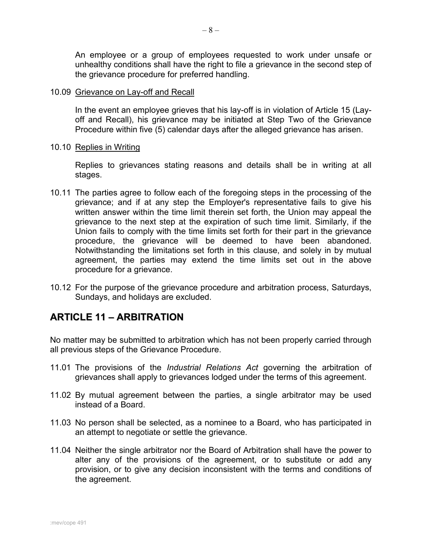An employee or a group of employees requested to work under unsafe or unhealthy conditions shall have the right to file a grievance in the second step of the grievance procedure for preferred handling.

#### 10.09 Grievance on Lay-off and Recall

In the event an employee grieves that his lay-off is in violation of Article 15 (Layoff and Recall), his grievance may be initiated at Step Two of the Grievance Procedure within five (5) calendar days after the alleged grievance has arisen.

### 10.10 Replies in Writing

Replies to grievances stating reasons and details shall be in writing at all stages.

- 10.11 The parties agree to follow each of the foregoing steps in the processing of the grievance; and if at any step the Employer's representative fails to give his written answer within the time limit therein set forth, the Union may appeal the grievance to the next step at the expiration of such time limit. Similarly, if the Union fails to comply with the time limits set forth for their part in the grievance procedure, the grievance will be deemed to have been abandoned. Notwithstanding the limitations set forth in this clause, and solely in by mutual agreement, the parties may extend the time limits set out in the above procedure for a grievance.
- 10.12 For the purpose of the grievance procedure and arbitration process, Saturdays, Sundays, and holidays are excluded.

# <span id="page-9-0"></span>**ARTICLE 11 – ARBITRATION**

No matter may be submitted to arbitration which has not been properly carried through all previous steps of the Grievance Procedure.

- 11.01 The provisions of the *Industrial Relations Act* governing the arbitration of grievances shall apply to grievances lodged under the terms of this agreement.
- 11.02 By mutual agreement between the parties, a single arbitrator may be used instead of a Board.
- 11.03 No person shall be selected, as a nominee to a Board, who has participated in an attempt to negotiate or settle the grievance.
- 11.04 Neither the single arbitrator nor the Board of Arbitration shall have the power to alter any of the provisions of the agreement, or to substitute or add any provision, or to give any decision inconsistent with the terms and conditions of the agreement.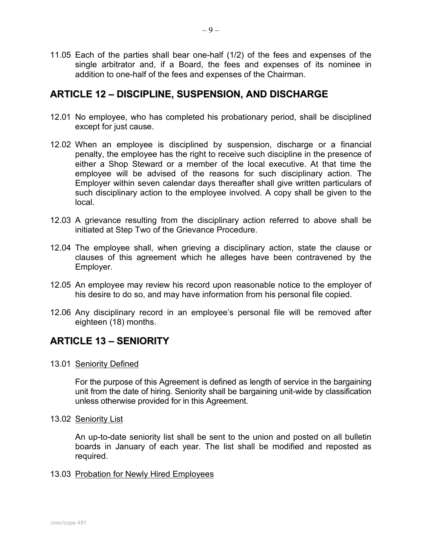11.05 Each of the parties shall bear one-half (1/2) of the fees and expenses of the single arbitrator and, if a Board, the fees and expenses of its nominee in addition to one-half of the fees and expenses of the Chairman.

### <span id="page-10-0"></span>**ARTICLE 12 – DISCIPLINE, SUSPENSION, AND DISCHARGE**

- 12.01 No employee, who has completed his probationary period, shall be disciplined except for just cause.
- 12.02 When an employee is disciplined by suspension, discharge or a financial penalty, the employee has the right to receive such discipline in the presence of either a Shop Steward or a member of the local executive. At that time the employee will be advised of the reasons for such disciplinary action. The Employer within seven calendar days thereafter shall give written particulars of such disciplinary action to the employee involved. A copy shall be given to the local.
- 12.03 A grievance resulting from the disciplinary action referred to above shall be initiated at Step Two of the Grievance Procedure.
- 12.04 The employee shall, when grieving a disciplinary action, state the clause or clauses of this agreement which he alleges have been contravened by the Employer.
- 12.05 An employee may review his record upon reasonable notice to the employer of his desire to do so, and may have information from his personal file copied.
- 12.06 Any disciplinary record in an employee's personal file will be removed after eighteen (18) months.

# <span id="page-10-1"></span>**ARTICLE 13 – SENIORITY**

### 13.01 Seniority Defined

For the purpose of this Agreement is defined as length of service in the bargaining unit from the date of hiring. Seniority shall be bargaining unit-wide by classification unless otherwise provided for in this Agreement.

13.02 Seniority List

An up-to-date seniority list shall be sent to the union and posted on all bulletin boards in January of each year. The list shall be modified and reposted as required.

### 13.03 Probation for Newly Hired Employees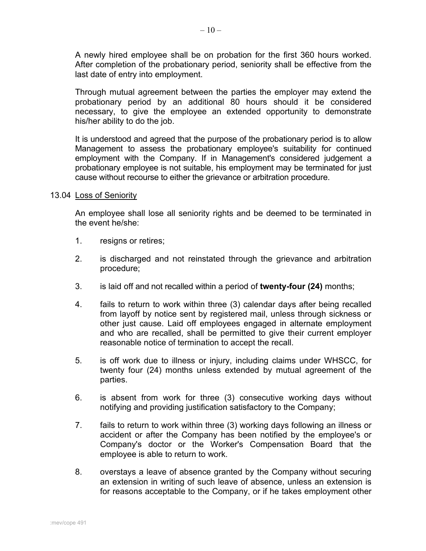A newly hired employee shall be on probation for the first 360 hours worked. After completion of the probationary period, seniority shall be effective from the last date of entry into employment.

Through mutual agreement between the parties the employer may extend the probationary period by an additional 80 hours should it be considered necessary, to give the employee an extended opportunity to demonstrate his/her ability to do the job.

It is understood and agreed that the purpose of the probationary period is to allow Management to assess the probationary employee's suitability for continued employment with the Company. If in Management's considered judgement a probationary employee is not suitable, his employment may be terminated for just cause without recourse to either the grievance or arbitration procedure.

#### 13.04 Loss of Seniority

An employee shall lose all seniority rights and be deemed to be terminated in the event he/she:

- 1. resigns or retires;
- 2. is discharged and not reinstated through the grievance and arbitration procedure;
- 3. is laid off and not recalled within a period of **twenty-four (24)** months;
- 4. fails to return to work within three (3) calendar days after being recalled from layoff by notice sent by registered mail, unless through sickness or other just cause. Laid off employees engaged in alternate employment and who are recalled, shall be permitted to give their current employer reasonable notice of termination to accept the recall.
- 5. is off work due to illness or injury, including claims under WHSCC, for twenty four (24) months unless extended by mutual agreement of the parties.
- 6. is absent from work for three (3) consecutive working days without notifying and providing justification satisfactory to the Company;
- 7. fails to return to work within three (3) working days following an illness or accident or after the Company has been notified by the employee's or Company's doctor or the Worker's Compensation Board that the employee is able to return to work.
- 8. overstays a leave of absence granted by the Company without securing an extension in writing of such leave of absence, unless an extension is for reasons acceptable to the Company, or if he takes employment other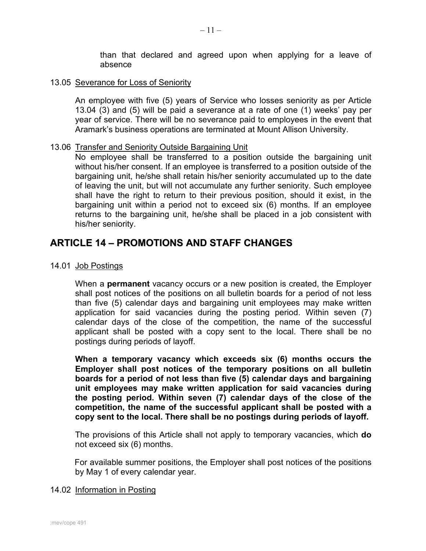than that declared and agreed upon when applying for a leave of absence

### 13.05 Severance for Loss of Seniority

An employee with five (5) years of Service who losses seniority as per Article 13.04 (3) and (5) will be paid a severance at a rate of one (1) weeks' pay per year of service. There will be no severance paid to employees in the event that Aramark's business operations are terminated at Mount Allison University.

#### 13.06 Transfer and Seniority Outside Bargaining Unit

No employee shall be transferred to a position outside the bargaining unit without his/her consent. If an employee is transferred to a position outside of the bargaining unit, he/she shall retain his/her seniority accumulated up to the date of leaving the unit, but will not accumulate any further seniority. Such employee shall have the right to return to their previous position, should it exist, in the bargaining unit within a period not to exceed six (6) months. If an employee returns to the bargaining unit, he/she shall be placed in a job consistent with his/her seniority.

### <span id="page-12-0"></span>**ARTICLE 14 – PROMOTIONS AND STAFF CHANGES**

14.01 Job Postings

When a **permanent** vacancy occurs or a new position is created, the Employer shall post notices of the positions on all bulletin boards for a period of not less than five (5) calendar days and bargaining unit employees may make written application for said vacancies during the posting period. Within seven (7) calendar days of the close of the competition, the name of the successful applicant shall be posted with a copy sent to the local. There shall be no postings during periods of layoff.

**When a temporary vacancy which exceeds six (6) months occurs the Employer shall post notices of the temporary positions on all bulletin boards for a period of not less than five (5) calendar days and bargaining unit employees may make written application for said vacancies during the posting period. Within seven (7) calendar days of the close of the competition, the name of the successful applicant shall be posted with a copy sent to the local. There shall be no postings during periods of layoff.**

The provisions of this Article shall not apply to temporary vacancies, which **do** not exceed six (6) months.

For available summer positions, the Employer shall post notices of the positions by May 1 of every calendar year.

### 14.02 Information in Posting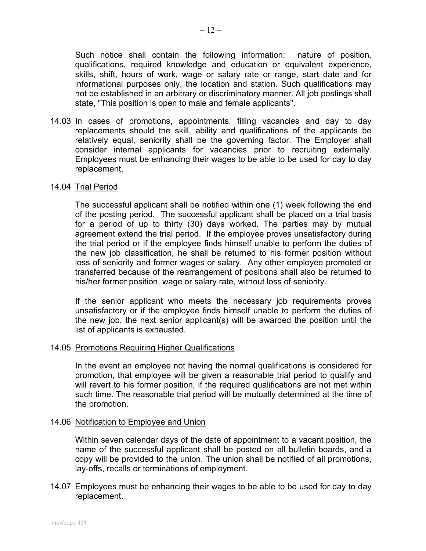Such notice shall contain the following information: nature of position, qualifications, required knowledge and education or equivalent experience, skills, shift, hours of work, wage or salary rate or range, start date and for informational purposes only, the location and station. Such qualifications may not be established in an arbitrary or discriminatory manner. All job postings shall state, "This position is open to male and female applicants".

14.03 In cases of promotions, appointments, filling vacancies and day to day replacements should the skill, ability and qualifications of the applicants be relatively equal, seniority shall be the governing factor. The Employer shall consider internal applicants for vacancies prior to recruiting externally. Employees must be enhancing their wages to be able to be used for day to day replacement.

#### 14.04 Trial Period

The successful applicant shall be notified within one (1) week following the end of the posting period. The successful applicant shall be placed on a trial basis for a period of up to thirty (30) days worked. The parties may by mutual agreement extend the trial period. If the employee proves unsatisfactory during the trial period or if the employee finds himself unable to perform the duties of the new job classification, he shall be returned to his former position without loss of seniority and former wages or salary. Any other employee promoted or transferred because of the rearrangement of positions shall also be returned to his/her former position, wage or salary rate, without loss of seniority.

If the senior applicant who meets the necessary job requirements proves unsatisfactory or if the employee finds himself unable to perform the duties of the new job, the next senior applicant(s) will be awarded the position until the list of applicants is exhausted.

#### 14.05 Promotions Requiring Higher Qualifications

In the event an employee not having the normal qualifications is considered for promotion, that employee will be given a reasonable trial period to qualify and will revert to his former position, if the required qualifications are not met within such time. The reasonable trial period will be mutually determined at the time of the promotion.

#### 14.06 Notification to Employee and Union

Within seven calendar days of the date of appointment to a vacant position, the name of the successful applicant shall be posted on all bulletin boards, and a copy will be provided to the union. The union shall be notified of all promotions, lay-offs, recalls or terminations of employment.

14.07 Employees must be enhancing their wages to be able to be used for day to day replacement.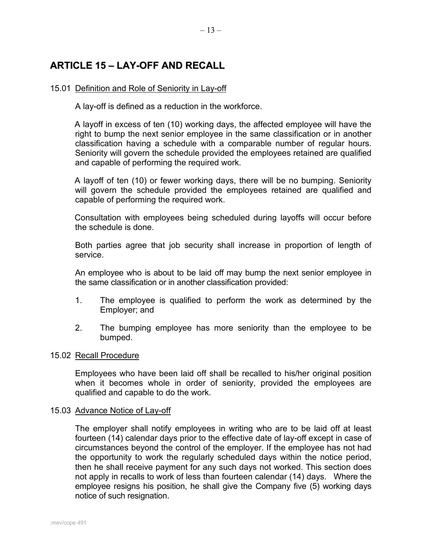# <span id="page-14-0"></span>**ARTICLE 15 – LAY-OFF AND RECALL**

### 15.01 Definition and Role of Seniority in Lay-off

A lay-off is defined as a reduction in the workforce.

A layoff in excess of ten (10) working days, the affected employee will have the right to bump the next senior employee in the same classification or in another classification having a schedule with a comparable number of regular hours. Seniority will govern the schedule provided the employees retained are qualified and capable of performing the required work.

A layoff of ten (10) or fewer working days, there will be no bumping. Seniority will govern the schedule provided the employees retained are qualified and capable of performing the required work.

Consultation with employees being scheduled during layoffs will occur before the schedule is done.

Both parties agree that job security shall increase in proportion of length of service.

An employee who is about to be laid off may bump the next senior employee in the same classification or in another classification provided:

- 1. The employee is qualified to perform the work as determined by the Employer; and
- 2. The bumping employee has more seniority than the employee to be bumped.

### 15.02 Recall Procedure

Employees who have been laid off shall be recalled to his/her original position when it becomes whole in order of seniority, provided the employees are qualified and capable to do the work.

#### 15.03 Advance Notice of Lay-off

The employer shall notify employees in writing who are to be laid off at least fourteen (14) calendar days prior to the effective date of lay-off except in case of circumstances beyond the control of the employer. If the employee has not had the opportunity to work the regularly scheduled days within the notice period, then he shall receive payment for any such days not worked. This section does not apply in recalls to work of less than fourteen calendar (14) days. Where the employee resigns his position, he shall give the Company five (5) working days notice of such resignation.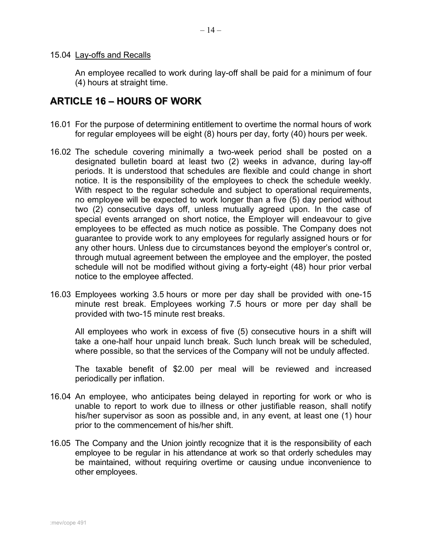### 15.04 Lay-offs and Recalls

An employee recalled to work during lay-off shall be paid for a minimum of four (4) hours at straight time.

### <span id="page-15-0"></span>**ARTICLE 16 – HOURS OF WORK**

- 16.01 For the purpose of determining entitlement to overtime the normal hours of work for regular employees will be eight (8) hours per day, forty (40) hours per week.
- 16.02 The schedule covering minimally a two-week period shall be posted on a designated bulletin board at least two (2) weeks in advance, during lay-off periods. It is understood that schedules are flexible and could change in short notice. It is the responsibility of the employees to check the schedule weekly. With respect to the regular schedule and subject to operational requirements, no employee will be expected to work longer than a five (5) day period without two (2) consecutive days off, unless mutually agreed upon. In the case of special events arranged on short notice, the Employer will endeavour to give employees to be effected as much notice as possible. The Company does not guarantee to provide work to any employees for regularly assigned hours or for any other hours. Unless due to circumstances beyond the employer's control or, through mutual agreement between the employee and the employer, the posted schedule will not be modified without giving a forty-eight (48) hour prior verbal notice to the employee affected.
- 16.03 Employees working 3.5 hours or more per day shall be provided with one-15 minute rest break. Employees working 7.5 hours or more per day shall be provided with two-15 minute rest breaks.

All employees who work in excess of five (5) consecutive hours in a shift will take a one-half hour unpaid lunch break. Such lunch break will be scheduled, where possible, so that the services of the Company will not be unduly affected.

The taxable benefit of \$2.00 per meal will be reviewed and increased periodically per inflation.

- 16.04 An employee, who anticipates being delayed in reporting for work or who is unable to report to work due to illness or other justifiable reason, shall notify his/her supervisor as soon as possible and, in any event, at least one (1) hour prior to the commencement of his/her shift.
- 16.05 The Company and the Union jointly recognize that it is the responsibility of each employee to be regular in his attendance at work so that orderly schedules may be maintained, without requiring overtime or causing undue inconvenience to other employees.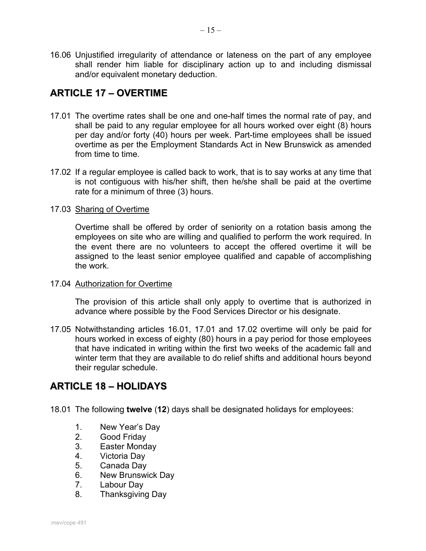16.06 Unjustified irregularity of attendance or lateness on the part of any employee shall render him liable for disciplinary action up to and including dismissal and/or equivalent monetary deduction.

# <span id="page-16-0"></span>**ARTICLE 17 – OVERTIME**

- 17.01 The overtime rates shall be one and one-half times the normal rate of pay, and shall be paid to any regular employee for all hours worked over eight (8) hours per day and/or forty (40) hours per week. Part-time employees shall be issued overtime as per the Employment Standards Act in New Brunswick as amended from time to time.
- 17.02 If a regular employee is called back to work, that is to say works at any time that is not contiguous with his/her shift, then he/she shall be paid at the overtime rate for a minimum of three (3) hours.

### 17.03 Sharing of Overtime

Overtime shall be offered by order of seniority on a rotation basis among the employees on site who are willing and qualified to perform the work required. In the event there are no volunteers to accept the offered overtime it will be assigned to the least senior employee qualified and capable of accomplishing the work.

### 17.04 Authorization for Overtime

The provision of this article shall only apply to overtime that is authorized in advance where possible by the Food Services Director or his designate.

17.05 Notwithstanding articles 16.01, 17.01 and 17.02 overtime will only be paid for hours worked in excess of eighty (80) hours in a pay period for those employees that have indicated in writing within the first two weeks of the academic fall and winter term that they are available to do relief shifts and additional hours beyond their regular schedule.

# <span id="page-16-1"></span>**ARTICLE 18 – HOLIDAYS**

18.01 The following **twelve** (**12**) days shall be designated holidays for employees:

- 1. New Year's Day
- Good Friday
- 3. Easter Monday
- 4. Victoria Day
- 5. Canada Day
- 6. New Brunswick Day<br>7. Labour Day
- Labour Day
- 8. Thanksgiving Day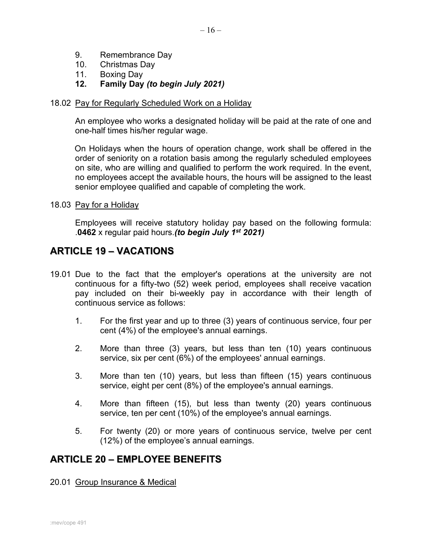- 9. Remembrance Day
- 10. Christmas Day
- 11. Boxing Day
- **12. Family Day** *(to begin July 2021)*

### 18.02 Pay for Regularly Scheduled Work on a Holiday

An employee who works a designated holiday will be paid at the rate of one and one-half times his/her regular wage.

On Holidays when the hours of operation change, work shall be offered in the order of seniority on a rotation basis among the regularly scheduled employees on site, who are willing and qualified to perform the work required. In the event, no employees accept the available hours, the hours will be assigned to the least senior employee qualified and capable of completing the work.

### 18.03 Pay for a Holiday

Employees will receive statutory holiday pay based on the following formula: .**0462** x regular paid hours.*(to begin July 1st 2021)*

### <span id="page-17-0"></span>**ARTICLE 19 – VACATIONS**

- 19.01 Due to the fact that the employer's operations at the university are not continuous for a fifty-two (52) week period, employees shall receive vacation pay included on their bi-weekly pay in accordance with their length of continuous service as follows:
	- 1. For the first year and up to three (3) years of continuous service, four per cent (4%) of the employee's annual earnings.
	- 2. More than three (3) years, but less than ten (10) years continuous service, six per cent (6%) of the employees' annual earnings.
	- 3. More than ten (10) years, but less than fifteen (15) years continuous service, eight per cent (8%) of the employee's annual earnings.
	- 4. More than fifteen (15), but less than twenty (20) years continuous service, ten per cent (10%) of the employee's annual earnings.
	- 5. For twenty (20) or more years of continuous service, twelve per cent (12%) of the employee's annual earnings.

# <span id="page-17-1"></span>**ARTICLE 20 – EMPLOYEE BENEFITS**

### 20.01 Group Insurance & Medical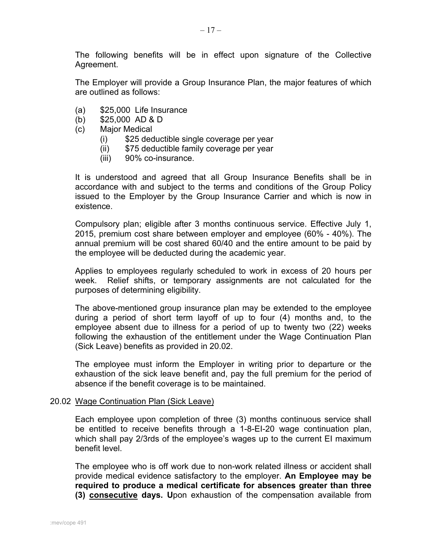The following benefits will be in effect upon signature of the Collective Agreement.

The Employer will provide a Group Insurance Plan, the major features of which are outlined as follows:

- (a) \$25,000 Life Insurance
- (b) \$25,000 AD & D
- (c) Major Medical
	- (i) \$25 deductible single coverage per year
	- (ii) \$75 deductible family coverage per year
	- (iii) 90% co-insurance.

It is understood and agreed that all Group Insurance Benefits shall be in accordance with and subject to the terms and conditions of the Group Policy issued to the Employer by the Group Insurance Carrier and which is now in existence.

Compulsory plan; eligible after 3 months continuous service. Effective July 1, 2015, premium cost share between employer and employee (60% - 40%). The annual premium will be cost shared 60/40 and the entire amount to be paid by the employee will be deducted during the academic year.

Applies to employees regularly scheduled to work in excess of 20 hours per week. Relief shifts, or temporary assignments are not calculated for the purposes of determining eligibility.

The above-mentioned group insurance plan may be extended to the employee during a period of short term layoff of up to four (4) months and, to the employee absent due to illness for a period of up to twenty two (22) weeks following the exhaustion of the entitlement under the Wage Continuation Plan (Sick Leave) benefits as provided in 20.02.

The employee must inform the Employer in writing prior to departure or the exhaustion of the sick leave benefit and, pay the full premium for the period of absence if the benefit coverage is to be maintained.

### 20.02 Wage Continuation Plan (Sick Leave)

Each employee upon completion of three (3) months continuous service shall be entitled to receive benefits through a 1-8-EI-20 wage continuation plan, which shall pay 2/3rds of the employee's wages up to the current EI maximum benefit level.

The employee who is off work due to non-work related illness or accident shall provide medical evidence satisfactory to the employer. **An Employee may be required to produce a medical certificate for absences greater than three (3) consecutive days. U**pon exhaustion of the compensation available from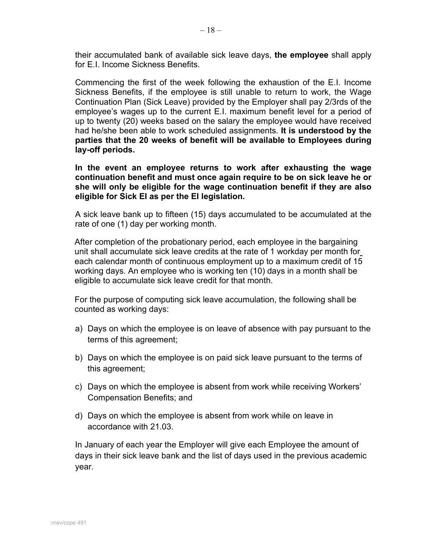their accumulated bank of available sick leave days, **the employee** shall apply for E.I. Income Sickness Benefits.

Commencing the first of the week following the exhaustion of the E.I. Income Sickness Benefits, if the employee is still unable to return to work, the Wage Continuation Plan (Sick Leave) provided by the Employer shall pay 2/3rds of the employee's wages up to the current E.I. maximum benefit level for a period of up to twenty (20) weeks based on the salary the employee would have received had he/she been able to work scheduled assignments. **It is understood by the parties that the 20 weeks of benefit will be available to Employees during lay-off periods.**

**In the event an employee returns to work after exhausting the wage continuation benefit and must once again require to be on sick leave he or she will only be eligible for the wage continuation benefit if they are also eligible for Sick EI as per the EI legislation.**

A sick leave bank up to fifteen (15) days accumulated to be accumulated at the rate of one (1) day per working month.

After completion of the probationary period, each employee in the bargaining unit shall accumulate sick leave credits at the rate of 1 workday per month for each calendar month of continuous employment up to a maximum credit of 15 working days. An employee who is working ten (10) days in a month shall be eligible to accumulate sick leave credit for that month.

For the purpose of computing sick leave accumulation, the following shall be counted as working days:

- a) Days on which the employee is on leave of absence with pay pursuant to the terms of this agreement;
- b) Days on which the employee is on paid sick leave pursuant to the terms of this agreement;
- c) Days on which the employee is absent from work while receiving Workers' Compensation Benefits; and
- d) Days on which the employee is absent from work while on leave in accordance with 21.03.

In January of each year the Employer will give each Employee the amount of days in their sick leave bank and the list of days used in the previous academic year.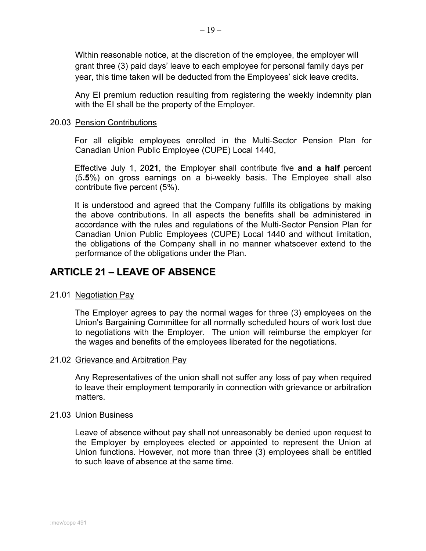Within reasonable notice, at the discretion of the employee, the employer will grant three (3) paid days' leave to each employee for personal family days per year, this time taken will be deducted from the Employees' sick leave credits.

Any EI premium reduction resulting from registering the weekly indemnity plan with the EI shall be the property of the Employer.

### 20.03 Pension Contributions

For all eligible employees enrolled in the Multi-Sector Pension Plan for Canadian Union Public Employee (CUPE) Local 1440,

Effective July 1, 20**21**, the Employer shall contribute five **and a half** percent (5**.5**%) on gross earnings on a bi-weekly basis. The Employee shall also contribute five percent (5%).

It is understood and agreed that the Company fulfills its obligations by making the above contributions. In all aspects the benefits shall be administered in accordance with the rules and regulations of the Multi-Sector Pension Plan for Canadian Union Public Employees (CUPE) Local 1440 and without limitation, the obligations of the Company shall in no manner whatsoever extend to the performance of the obligations under the Plan.

# <span id="page-20-0"></span>**ARTICLE 21 – LEAVE OF ABSENCE**

### 21.01 Negotiation Pay

The Employer agrees to pay the normal wages for three (3) employees on the Union's Bargaining Committee for all normally scheduled hours of work lost due to negotiations with the Employer. The union will reimburse the employer for the wages and benefits of the employees liberated for the negotiations.

### 21.02 Grievance and Arbitration Pay

Any Representatives of the union shall not suffer any loss of pay when required to leave their employment temporarily in connection with grievance or arbitration matters.

### 21.03 Union Business

Leave of absence without pay shall not unreasonably be denied upon request to the Employer by employees elected or appointed to represent the Union at Union functions. However, not more than three (3) employees shall be entitled to such leave of absence at the same time.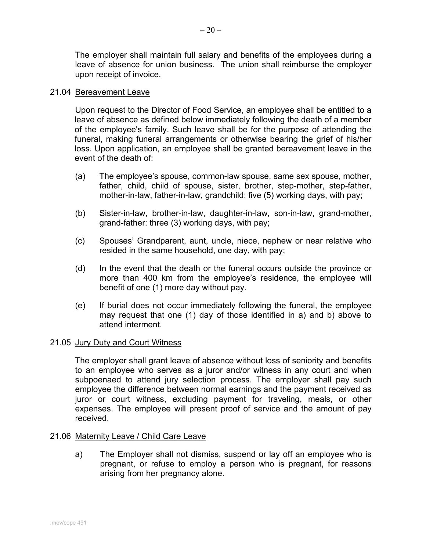The employer shall maintain full salary and benefits of the employees during a leave of absence for union business. The union shall reimburse the employer upon receipt of invoice.

### 21.04 Bereavement Leave

Upon request to the Director of Food Service, an employee shall be entitled to a leave of absence as defined below immediately following the death of a member of the employee's family. Such leave shall be for the purpose of attending the funeral, making funeral arrangements or otherwise bearing the grief of his/her loss. Upon application, an employee shall be granted bereavement leave in the event of the death of:

- (a) The employee's spouse, common-law spouse, same sex spouse, mother, father, child, child of spouse, sister, brother, step-mother, step-father, mother-in-law, father-in-law, grandchild: five (5) working days, with pay;
- (b) Sister-in-law, brother-in-law, daughter-in-law, son-in-law, grand-mother, grand-father: three (3) working days, with pay;
- (c) Spouses' Grandparent, aunt, uncle, niece, nephew or near relative who resided in the same household, one day, with pay;
- (d) In the event that the death or the funeral occurs outside the province or more than 400 km from the employee's residence, the employee will benefit of one (1) more day without pay.
- (e) If burial does not occur immediately following the funeral, the employee may request that one (1) day of those identified in a) and b) above to attend interment.

### 21.05 Jury Duty and Court Witness

The employer shall grant leave of absence without loss of seniority and benefits to an employee who serves as a juror and/or witness in any court and when subpoenaed to attend jury selection process. The employer shall pay such employee the difference between normal earnings and the payment received as juror or court witness, excluding payment for traveling, meals, or other expenses. The employee will present proof of service and the amount of pay received.

### 21.06 Maternity Leave / Child Care Leave

a) The Employer shall not dismiss, suspend or lay off an employee who is pregnant, or refuse to employ a person who is pregnant, for reasons arising from her pregnancy alone.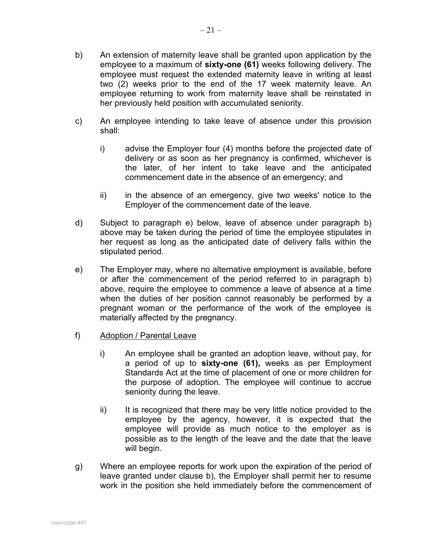- b) An extension of maternity leave shall be granted upon application by the employee to a maximum of **sixty-one (61)** weeks following delivery. The employee must request the extended maternity leave in writing at least two (2) weeks prior to the end of the 17 week maternity leave. An employee returning to work from maternity leave shall be reinstated in her previously held position with accumulated seniority.
- c) An employee intending to take leave of absence under this provision shall:
	- i) advise the Employer four (4) months before the projected date of delivery or as soon as her pregnancy is confirmed, whichever is the later, of her intent to take leave and the anticipated commencement date in the absence of an emergency; and
	- ii) in the absence of an emergency, give two weeks' notice to the Employer of the commencement date of the leave.
- d) Subject to paragraph e) below, leave of absence under paragraph b) above may be taken during the period of time the employee stipulates in her request as long as the anticipated date of delivery falls within the stipulated period.
- e) The Employer may, where no alternative employment is available, before or after the commencement of the period referred to in paragraph b) above, require the employee to commence a leave of absence at a time when the duties of her position cannot reasonably be performed by a pregnant woman or the performance of the work of the employee is materially affected by the pregnancy.
- f) Adoption / Parental Leave
	- i) An employee shall be granted an adoption leave, without pay, for a period of up to **sixty-one (61),** weeks as per Employment Standards Act at the time of placement of one or more children for the purpose of adoption. The employee will continue to accrue seniority during the leave.
	- ii) It is recognized that there may be very little notice provided to the employee by the agency, however, it is expected that the employee will provide as much notice to the employer as is possible as to the length of the leave and the date that the leave will begin.
- g) Where an employee reports for work upon the expiration of the period of leave granted under clause b), the Employer shall permit her to resume work in the position she held immediately before the commencement of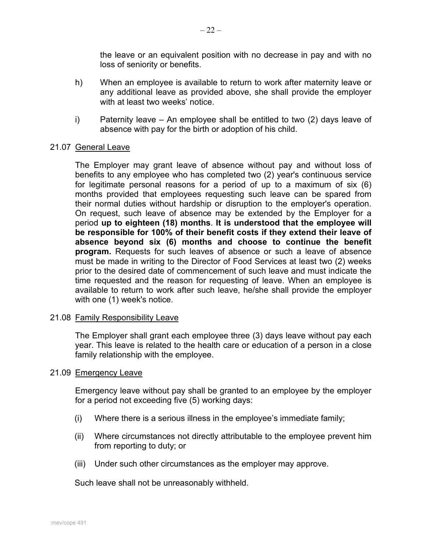the leave or an equivalent position with no decrease in pay and with no loss of seniority or benefits.

- h) When an employee is available to return to work after maternity leave or any additional leave as provided above, she shall provide the employer with at least two weeks' notice.
- i) Paternity leave An employee shall be entitled to two (2) days leave of absence with pay for the birth or adoption of his child.

### 21.07 General Leave

The Employer may grant leave of absence without pay and without loss of benefits to any employee who has completed two (2) year's continuous service for legitimate personal reasons for a period of up to a maximum of six (6) months provided that employees requesting such leave can be spared from their normal duties without hardship or disruption to the employer's operation. On request, such leave of absence may be extended by the Employer for a period **up to eighteen (18) months**. **It is understood that the employee will be responsible for 100% of their benefit costs if they extend their leave of absence beyond six (6) months and choose to continue the benefit program.** Requests for such leaves of absence or such a leave of absence must be made in writing to the Director of Food Services at least two (2) weeks prior to the desired date of commencement of such leave and must indicate the time requested and the reason for requesting of leave. When an employee is available to return to work after such leave, he/she shall provide the employer with one (1) week's notice.

### 21.08 Family Responsibility Leave

The Employer shall grant each employee three (3) days leave without pay each year. This leave is related to the health care or education of a person in a close family relationship with the employee.

### 21.09 Emergency Leave

Emergency leave without pay shall be granted to an employee by the employer for a period not exceeding five (5) working days:

- (i) Where there is a serious illness in the employee's immediate family;
- (ii) Where circumstances not directly attributable to the employee prevent him from reporting to duty; or
- (iii) Under such other circumstances as the employer may approve.

Such leave shall not be unreasonably withheld.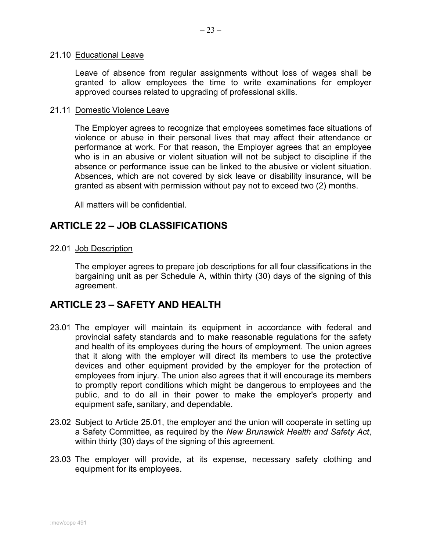#### 21.10 Educational Leave

Leave of absence from regular assignments without loss of wages shall be granted to allow employees the time to write examinations for employer approved courses related to upgrading of professional skills.

### 21.11 Domestic Violence Leave

The Employer agrees to recognize that employees sometimes face situations of violence or abuse in their personal lives that may affect their attendance or performance at work. For that reason, the Employer agrees that an employee who is in an abusive or violent situation will not be subject to discipline if the absence or performance issue can be linked to the abusive or violent situation. Absences, which are not covered by sick leave or disability insurance, will be granted as absent with permission without pay not to exceed two (2) months.

All matters will be confidential.

### <span id="page-24-0"></span>**ARTICLE 22 – JOB CLASSIFICATIONS**

22.01 Job Description

The employer agrees to prepare job descriptions for all four classifications in the bargaining unit as per Schedule A, within thirty (30) days of the signing of this agreement.

### <span id="page-24-1"></span>**ARTICLE 23 – SAFETY AND HEALTH**

- 23.01 The employer will maintain its equipment in accordance with federal and provincial safety standards and to make reasonable regulations for the safety and health of its employees during the hours of employment. The union agrees that it along with the employer will direct its members to use the protective devices and other equipment provided by the employer for the protection of employees from injury. The union also agrees that it will encourage its members to promptly report conditions which might be dangerous to employees and the public, and to do all in their power to make the employer's property and equipment safe, sanitary, and dependable.
- 23.02 Subject to Article 25.01, the employer and the union will cooperate in setting up a Safety Committee, as required by the *New Brunswick Health and Safety Act*, within thirty (30) days of the signing of this agreement.
- 23.03 The employer will provide, at its expense, necessary safety clothing and equipment for its employees.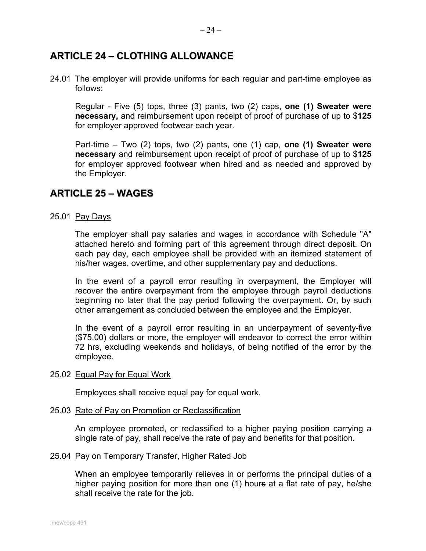# <span id="page-25-0"></span>**ARTICLE 24 – CLOTHING ALLOWANCE**

24.01 The employer will provide uniforms for each regular and part-time employee as follows:

Regular - Five (5) tops, three (3) pants, two (2) caps, **one (1) Sweater were necessary,** and reimbursement upon receipt of proof of purchase of up to \$**125** for employer approved footwear each year.

Part-time – Two (2) tops, two (2) pants, one (1) cap, **one (1) Sweater were necessary** and reimbursement upon receipt of proof of purchase of up to \$**125** for employer approved footwear when hired and as needed and approved by the Employer.

### <span id="page-25-1"></span>**ARTICLE 25 – WAGES**

### 25.01 Pay Days

The employer shall pay salaries and wages in accordance with Schedule "A" attached hereto and forming part of this agreement through direct deposit. On each pay day, each employee shall be provided with an itemized statement of his/her wages, overtime, and other supplementary pay and deductions.

In the event of a payroll error resulting in overpayment, the Employer will recover the entire overpayment from the employee through payroll deductions beginning no later that the pay period following the overpayment. Or, by such other arrangement as concluded between the employee and the Employer.

In the event of a payroll error resulting in an underpayment of seventy-five (\$75.00) dollars or more, the employer will endeavor to correct the error within 72 hrs, excluding weekends and holidays, of being notified of the error by the employee.

#### 25.02 Equal Pay for Equal Work

Employees shall receive equal pay for equal work.

#### 25.03 Rate of Pay on Promotion or Reclassification

An employee promoted, or reclassified to a higher paying position carrying a single rate of pay, shall receive the rate of pay and benefits for that position.

#### 25.04 Pay on Temporary Transfer, Higher Rated Job

When an employee temporarily relieves in or performs the principal duties of a higher paying position for more than one (1) hours at a flat rate of pay, he/she shall receive the rate for the job.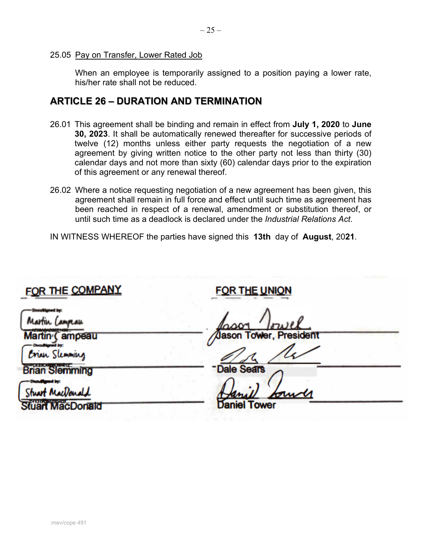### 25.05 Pay on Transfer, Lower Rated Job

When an employee is temporarily assigned to a position paying a lower rate, his/her rate shall not be reduced.

### <span id="page-26-0"></span>**ARTICLE 26 – DURATION AND TERMINATION**

- 26.01 This agreement shall be binding and remain in effect from **July 1, 2020** to **June 30, 2023**. It shall be automatically renewed thereafter for successive periods of twelve (12) months unless either party requests the negotiation of a new agreement by giving written notice to the other party not less than thirty (30) calendar days and not more than sixty (60) calendar days prior to the expiration of this agreement or any renewal thereof.
- 26.02 Where a notice requesting negotiation of a new agreement has been given, this agreement shall remain in full force and effect until such time as agreement has been reached in respect of a renewal, amendment or substitution thereof, or until such time as a deadlock is declared under the *Industrial Relations Act*.

IN WITNESS WHEREOF the parties have signed this **13th** day of **August**, 20**21**.

# <span id="page-26-1"></span>FOR THE COMPANY

# **FOR THE UNIO!**

ampeau

ın Slemming

lemming

**<sup>1111</sup>ll!F** 

Stuart MacDonald

Donald

ason Tower, Presid

ason Tower, President<br>Dale Sears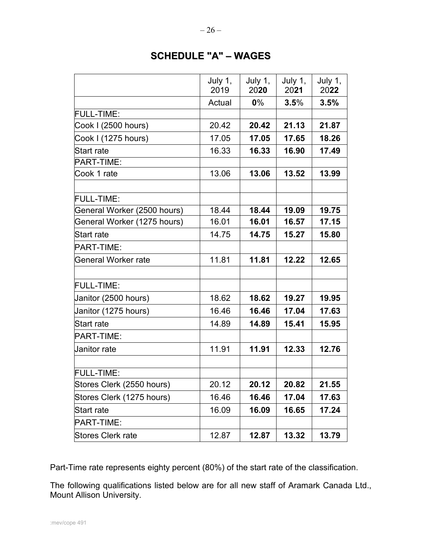# **SCHEDULE "A" – WAGES**

|                             | July 1,<br>2019 | July 1,<br>2020 | July 1,<br>2021 | July 1,<br>2022 |
|-----------------------------|-----------------|-----------------|-----------------|-----------------|
|                             | Actual          | $0\%$           | 3.5%            | 3.5%            |
| <b>FULL-TIME:</b>           |                 |                 |                 |                 |
| Cook I (2500 hours)         | 20.42           | 20.42           | 21.13           | 21.87           |
| Cook I (1275 hours)         | 17.05           | 17.05           | 17.65           | 18.26           |
| <b>Start rate</b>           | 16.33           | 16.33           | 16.90           | 17.49           |
| PART-TIME:                  |                 |                 |                 |                 |
| Cook 1 rate                 | 13.06           | 13.06           | 13.52           | 13.99           |
|                             |                 |                 |                 |                 |
| <b>FULL-TIME:</b>           |                 |                 |                 |                 |
| General Worker (2500 hours) | 18.44           | 18.44           | 19.09           | 19.75           |
| General Worker (1275 hours) | 16.01           | 16.01           | 16.57           | 17.15           |
| <b>Start rate</b>           | 14.75           | 14.75           | 15.27           | 15.80           |
| PART-TIME:                  |                 |                 |                 |                 |
| General Worker rate         | 11.81           | 11.81           | 12.22           | 12.65           |
|                             |                 |                 |                 |                 |
| <b>FULL-TIME:</b>           |                 |                 |                 |                 |
| Janitor (2500 hours)        | 18.62           | 18.62           | 19.27           | 19.95           |
| Janitor (1275 hours)        | 16.46           | 16.46           | 17.04           | 17.63           |
| Start rate                  | 14.89           | 14.89           | 15.41           | 15.95           |
| PART-TIME:                  |                 |                 |                 |                 |
| <b>Janitor</b> rate         | 11.91           | 11.91           | 12.33           | 12.76           |
| <b>FULL-TIME:</b>           |                 |                 |                 |                 |
|                             |                 |                 |                 |                 |
| Stores Clerk (2550 hours)   | 20.12           | 20.12           | 20.82           | 21.55           |
| Stores Clerk (1275 hours)   | 16.46           | 16.46           | 17.04           | 17.63           |
| Start rate                  | 16.09           | 16.09           | 16.65           | 17.24           |
| PART-TIME:                  |                 |                 |                 |                 |
| Stores Clerk rate           | 12.87           | 12.87           | 13.32           | 13.79           |

Part-Time rate represents eighty percent (80%) of the start rate of the classification.

The following qualifications listed below are for all new staff of Aramark Canada Ltd., Mount Allison University.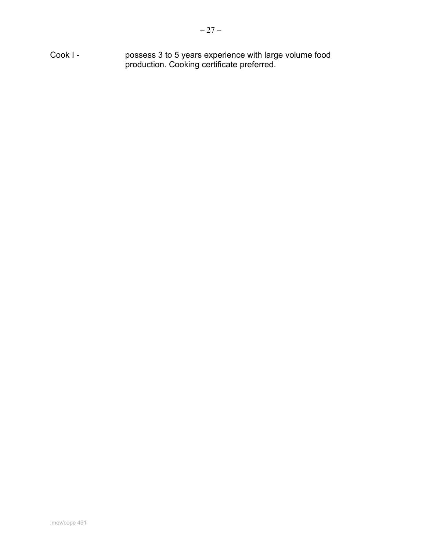Cook I - possess 3 to 5 years experience with large volume food production. Cooking certificate preferred.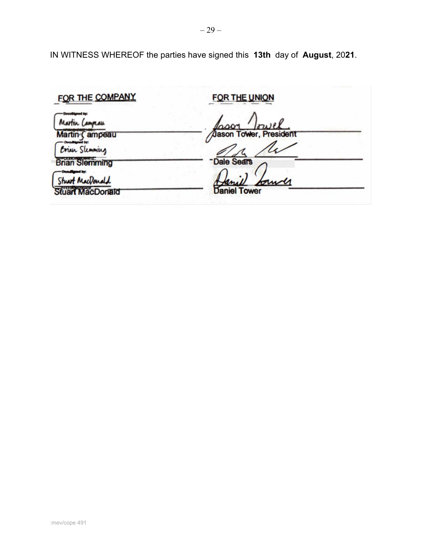| FOR THE COMPANY                      | <b>FOR THE UNION</b>          |
|--------------------------------------|-------------------------------|
| Martin Campau                        | lason                         |
| Martin (ampeau<br>Erian Slemming     | <b>Jason Tower, President</b> |
| <b>Brian Slemming</b>                | Dale Sears                    |
| Stuart MacDonald<br>Stuart MacDonald | Am<br><b>Daniel Tower</b>     |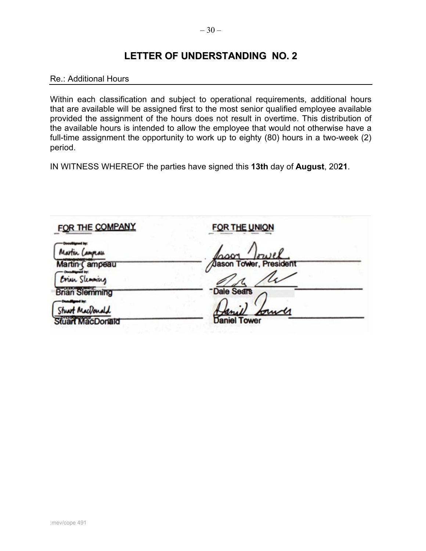### <span id="page-30-0"></span>Re.: Additional Hours

Within each classification and subject to operational requirements, additional hours that are available will be assigned first to the most senior qualified employee available provided the assignment of the hours does not result in overtime. This distribution of the available hours is intended to allow the employee that would not otherwise have a full-time assignment the opportunity to work up to eighty (80) hours in a two-week (2) period.

| FOR THE COMPANY                      | <b>FOR THE UNION</b>    |
|--------------------------------------|-------------------------|
| Martin Campau                        | Irwel                   |
| Martin (ampeau<br>Erian Slemming     | Joseph Tower, President |
| <b>Brian Slemming</b>                | <b>Dale Sears</b>       |
| Stuart MacDonald<br>Stuart MacDonald | <b>Daniel Tower</b>     |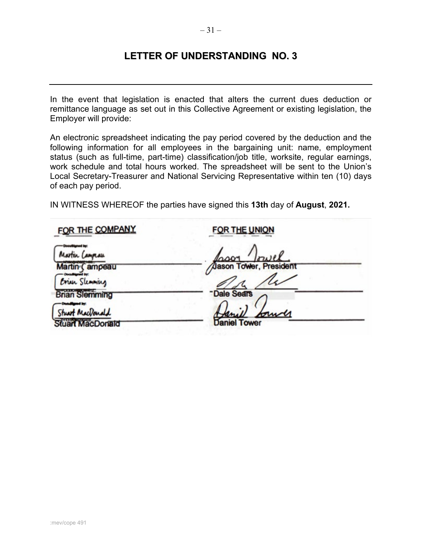<span id="page-31-0"></span>In the event that legislation is enacted that alters the current dues deduction or remittance language as set out in this Collective Agreement or existing legislation, the Employer will provide:

An electronic spreadsheet indicating the pay period covered by the deduction and the following information for all employees in the bargaining unit: name, employment status (such as full-time, part-time) classification/job title, worksite, regular earnings, work schedule and total hours worked. The spreadsheet will be sent to the Union's Local Secretary-Treasurer and National Servicing Representative within ten (10) days of each pay period.

| FOR THE COMPANY                      | FOR THE UNION                  |
|--------------------------------------|--------------------------------|
| Martin Campau                        | Irwel<br>lason                 |
| Martin (ampeau<br>Erian Slemming     | <b>Jason Tower</b> , President |
| <b>Brian Slemming</b>                | Dale Sears                     |
| Stuart MacDonald<br>Stuart MacDonald | Hann<br><b>Daniel Tower</b>    |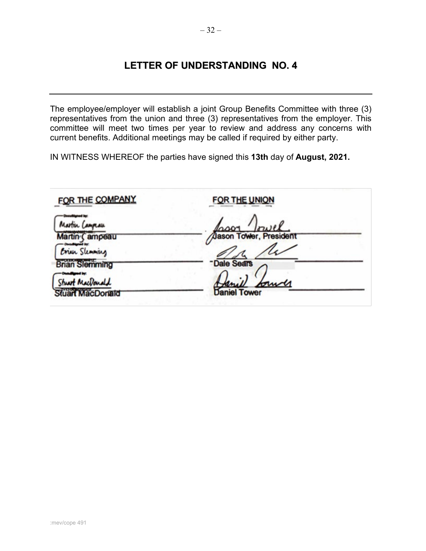<span id="page-32-0"></span>The employee/employer will establish a joint Group Benefits Committee with three (3) representatives from the union and three (3) representatives from the employer. This committee will meet two times per year to review and address any concerns with current benefits. Additional meetings may be called if required by either party.

| FOR THE COMPANY                  | <b>FOR THE UNION</b>                        |
|----------------------------------|---------------------------------------------|
| Martin Campau                    |                                             |
| Martin Campeau<br>Erich Slemming | Coor <i>Irwel</i><br>Asson Tower, President |
| <b>Brian Slemming</b>            | <b>Dale Sears</b>                           |
| Stuart MacDonald                 | burg                                        |
| Stuart MacDonald                 | <b>Daniel Tower</b>                         |